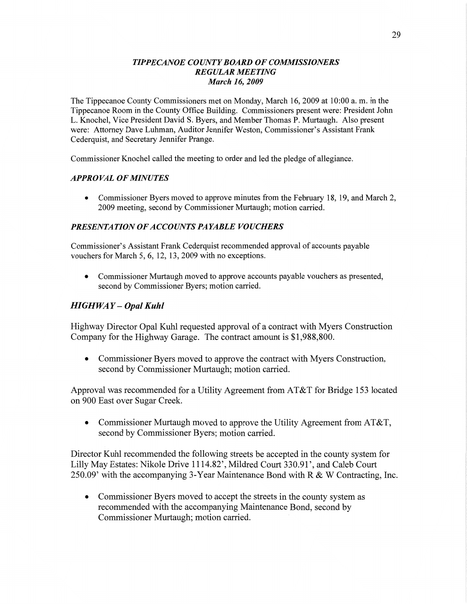#### *TIPPECANOE* CO *UNTY BOARD* OF *COMMISSIONERS REGULAR MEETING March* 16, *2009*

The Tippecanoe County Commissioners met on Monday, March 16, 2009 at 10:00 a. m. in the Tippecanoe Room in the County **Office** Building. Commissioners present were: President John L. Knochel, **Vice** President **David** S. Byers, and Member Thomas P. Murtaugh. Also present were: Attorney Dave Luhman, Auditor Jennifer Weston, Commissioner's Assistant **Frank**  Cederquist, and Secretary Jennifer Prange.

Commissioner Knochel called the meeting to order and led the pledge of allegiance.

#### *APPROVAL* OF *MINUTES*

**0** Commissioner Byers moved to approve minutes from the February 18, 19, and March 2, 2009 meeting, second by Commissioner Murtaugh; motion carried.

#### **PRESENTATION OF ACCOUNTS PAYABLE VOUCHERS**

Commissioner's **Assistant** Frank Cederquist recommended approval of accounts payable vouchers for March 5, 6, 12, 13, 2009 with no exceptions.

**0** Commissioner Murtaugh moved to approve accounts payable vouchers as presented, second by Commissioner Byers; motion carried.

#### *HIGHWA Y* **-** *Opal Kuhl*

Highway Director Opal Kuhl requested approval of a contract with Myers Construction Company for the Highway Garage. The contract amount is \$1,988,800.

**0** Commissioner Byers moved to approve the contract with Myers Construction, second by Commissioner Murtaugh; motion carried.

**Approval** was recommended for **a** Utility Agreement from **AT&T** for Bridge 153 located on 900 East over Sugar Creek.

**0** Commissioner Murtaugh moved to approve the Utility Agreement from AT&T, second by Commissioner Byers; motion carried.

Director Kuhl recommended the following streets be accepted in the county system for Lilly May Estates: Nikole Drive 1114.82', Mildred Court 330.91 ', and Caleb Court 250.09' with the accompanying 3-Year Maintenance Bond with R & **W** Contracting, **Inc.** 

• Commissioner Byers moved to accept the streets in the county system as recommended with the accompanying Maintenance Bond, second by Commissioner Murtaugh; **motion** carried. '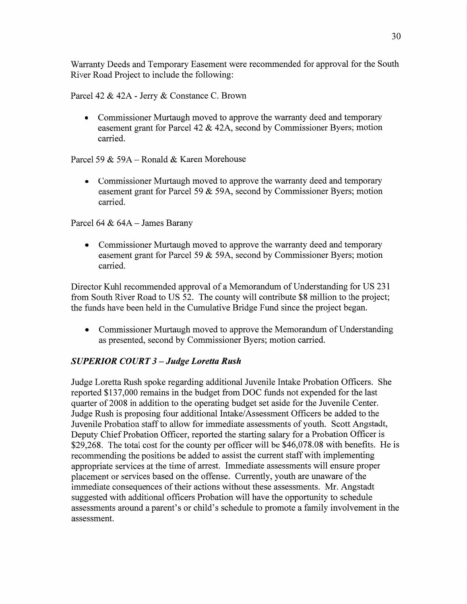Warranty Deeds and Temporary Easement were recommended for approval for the South River Road Project to include the following:

Parcel 42 & 42A **-** Jerry & Constance C. Brown

**0** Commissioner Murtaugh moved to approve the warranty deed and temporary easement grant for Parcel 42 & 42A, second by Commissioner Byers; motion carried.

Parcel 59 & 59A *—* Ronald & Karen Morehouse

**0** Commissioner Murtaugh moved to approve the warranty deed and temporary easement grant for Parcel 59 & 59A, second by Commissioner Byers; motion carried.

Parcel 64 & 64A — James Barany

**0** Commissioner Murtaugh moved to approve the warranty deed and temporary easement grant for Parcel 59  $&$  59A, second by Commissioner Byers; motion carried.

Director Kuhl recommended approval of a Memorandum of Understanding for US 231 from South River Road to US 52. The county Will contribute \$8 million to the project; the funds **have** been held in the Cumulative Bridge Fund **since** the project began.

**0** Commissioner Murtaugh moved to approve the Memorandum of Understanding as presented, second by Commissioner Byers; motion carried.

### *SUPERIOR COURT 3* **—** *Judge Loretta Rush*

Judge Loretta Rush spoke regarding additional Juvenile Intake Probation **Officers.** She reported \$137,000 remains in the budget from DOC funds not expended for the last quarter of 2008 in addition to the operating budget set aside for the Juvenile Center. Judge Rush is proposing four additional Intake/Assessment Officers be added to the Juvenile Probation staff to allow for immediate assessments of youth. Scott Angstadt, Deputy Chief Probation Officer, reported the starting salary for a Probation Officer is \$29,268. The total cost for the county per officer will be \$46,078.08 with benefits. He is recommending the positions be added to assist the current staff With implementing appropriate services at the time of arrest. Immediate assessments will ensure proper placement or services based on the offense. Currently, youth are unaware of the immediate consequences of their actions without these assessments. Mr. Angstadt suggested with additional officers Probation will have the opportunity to schedule assessments around a parent's or child's schedule to promote a family involvement in the assessment.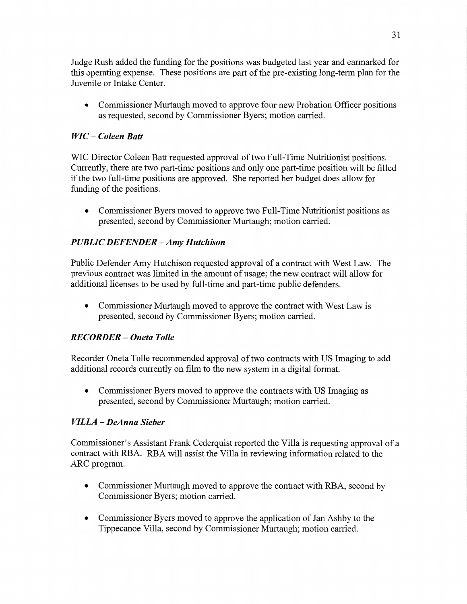Judge **Rush** added the funding for the positions was budgeted last year and earmarked for **this** operating **expense.** These positions are part of the pre-existing long-term plan for the Juvenile or Intake Center.

**0** Commissioner Murtaugh **moved** to approve four new Probation **Officer** positions as requested, second by Commissioner Byers; motion **carried.** 

### WIC -— *Coleen Batt*

WIC Director Coleen Batt requested approval of two Full-Time Nutritionist positions. Currently, **there** are two part-time positions and only one part-time position will be filled if the two full-time positions are approved. She reported her budget does allow for fimding of the positions.

**0** Commissioner Byers moved to approve two Full-Time Nutritionist positions as presented, second by Commissioner Murtaugh; motion carried.

# *PUBLIC DEFENDER* — Amy *H utchison*

Public Defender Amy **Hutchjson** requested approval of **a** contract with West Law. The previous contract was limited in the amount of usage; the new contract will allow for additional licenses to be used by full-time and part-time public defenders.

**0** Commissioner Murtaugh moved to approve the contract with West Law is presented, second by Commissioner Byers; motion carried.

### *RECORDER* **—** *Oneta T olle*

Recorder Oneta Tolle recommended approval of two contracts with US Imaging to add additional records currently on film to the new system in a digital format.

**0** Commissioner Byers moved to approve the contracts with US Imaging as presented, second by Commissioner Murtaugh; **motion** carried.

### *VILLA — DeAnna Sieber*

Commissioner's Assistant Frank Cederquist reported the **Villa** is requesting approval of a contract with RBA. RBA will assist the Villa in reviewing information related to the ARC program.

- **0** Commissioner Murtaugh moved to approve the contract with RBA, second by Commissioner Byers; **motion** carried.
- **0** Commissioner Byers moved to approve the **application** of Jan Ashby to the Tippecanoe Villa, second by Commissioner **Murtaugh;** motion carried.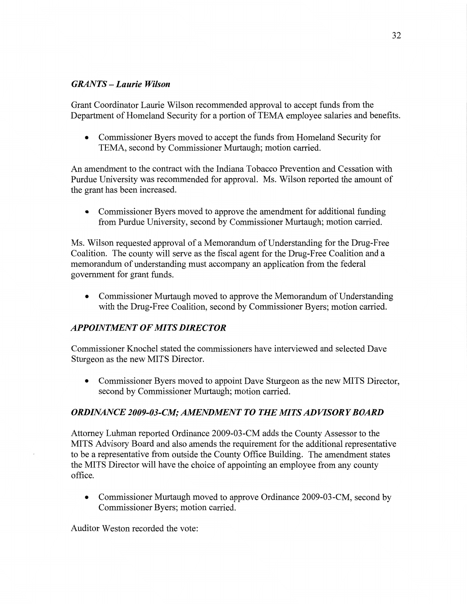#### *GRANTS* **—** *Laurie Wilson*

Grant Coordinator Laurie Wilson recommended approval to accept fimds from the Department of Homeland Security for a portion of TEMA employee salaries and benefits.

**0** Commissioner Byers moved to accept the **funds** from **Homeland** Security for TEMA, second by Commissioner Murtaugh; motion carried.

An amendment to the contract with the Indiana Tobacco Prevention and Cessation with Purdue University was recommended for approval. Ms. Wilson reported the **amount** of the grant has been increased.

**0** Commissioner Byers **moved** to approve the amendment for additional funding from Purdue University, second by Commissioner Murtaugh; **motion** carried.

Ms. Wilson requested approval of a Memorandum of Understanding for the Drug-Free Coalition. The county will serve as the fiscal agent for the Drug-Free Coalition and a memorandum of understanding must accompany an application from the federal government for grant funds.

**0** Commissioner Murtaugh moved to approve the Memorandum of Understanding with the Drug-Free Coalition, second by Commissioner Byers; motion carried.

### **APPOINTMENT OF MITS DIRECTOR**

Commissioner Knochel stated the commissioners **have** interviewed and selected Dave Sturgeon as the new MITS Director.

**0** Commissioner Byers moved to appoint Dave Sturgeon as the new MITS Director, second by Commissioner Murtaugh; motion carried.

### *ORDINANCE 2009-03-0"; AMENDAIENT T 0* THE MI *T S ADWSORY BOARD*

Attorney Luhman reported Ordinance 2009-03 -CM adds the County Assessor to the MITS Advisory Board and also amends the requirement for the additional representative to be a representative from outside the County Office Building. The **amendment** states the MITS Director will have the choice of appointing an employee from any county office.

• Commissioner Murtaugh moved to approve Ordinance 2009-03-CM, second by Commissioner Byers; **motion** carried.

**Auditor** Weston recorded the vote: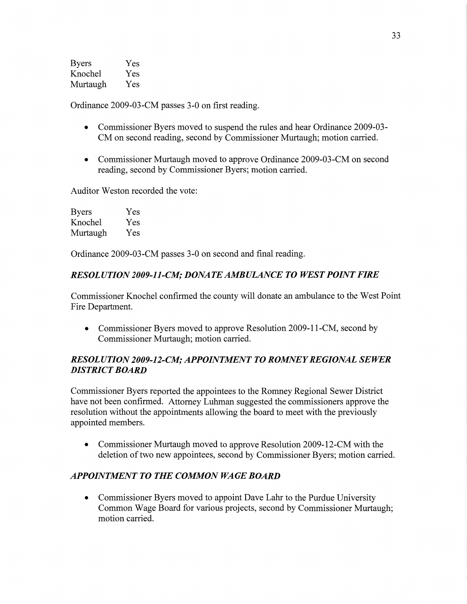| <b>Byers</b> | Yes |
|--------------|-----|
| Knochel      | Yes |
| Murtaugh     | Yes |

Ordinance 2009-03 -CM passes 3-0 on first reading.

- **0** Commissioner Byers moved to suspend the rules and hear Ordinance 2009-03- CM on second reading, second by Commissioner Murtaugh; motion carried.
- Commissioner Murtaugh moved to approve Ordinance 2009-03-CM on second reading, second by Commissioner Byers; motion carried.

Auditor Weston recorded the vote:

| <b>Byers</b> | Yes |
|--------------|-----|
| Knochel      | Yes |
| Murtaugh     | Yes |

Ordinance 2009-03-CM passes 3-0 on second and final reading.

### *RESOLUTION 2009-11-CM; DONA* TE *AMBULANCE* T0 *WEST POINT FIRE*

Commissioner Knochel confirmed the county will donate an ambulance to the West Point Fire Department.

• Commissioner Byers moved to approve Resolution 2009-11-CM, second by Commissioner **Murtaugh;** motion carried.

# *RESOL U T* ION *2009-12-C1M; APPOINTMENT T 0 ROIMNE Y REGIONAL SEWER DISTRICT BOARD*

Commissioner Byers reported the appointees to the Romney Regional Sewer District have not been confirmed. Attorney Luhman suggested the commissioners approve the resolution without the appointments allowing the board to meet with the previously appointed members.

**0** Commissioner Murtaugh **moved** to approve Resolution 2009-12-CM with the deletion of two new appointees, second by Commissioner Byers; motion carried.

# *APPOINTMENT TO THE COMMON WAGE BOARD*

**0** Commissioner Byers moved to appoint Dave Lahr to the Purdue University **Common** Wage Board for various projects, **second** by Commissioner Murtaugh; **motion** carried.